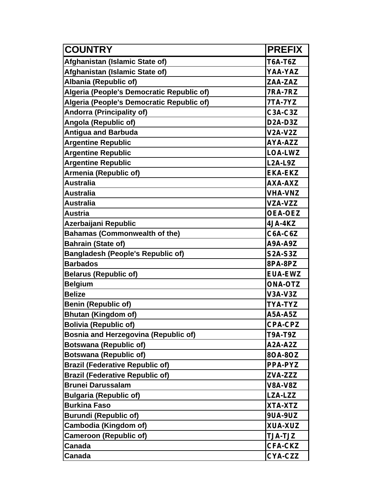| <b>COUNTRY</b>                              | <b>PREFIX</b>                     |
|---------------------------------------------|-----------------------------------|
| Afghanistan (Islamic State of)              | <b>T6A-T6Z</b>                    |
| Afghanistan (Islamic State of)              | YAA-YAZ                           |
| Albania (Republic of)                       | ZAA-ZAZ                           |
| Algeria (People's Democratic Republic of)   | <b>7RA-7RZ</b>                    |
| Algeria (People's Democratic Republic of)   | 7TA-7YZ                           |
| <b>Andorra (Principality of)</b>            | <b>C3A-C3Z</b>                    |
| Angola (Republic of)                        | D <sub>2</sub> A-D <sub>3</sub> Z |
| <b>Antigua and Barbuda</b>                  | <b>V2A-V2Z</b>                    |
| <b>Argentine Republic</b>                   | AYA-AZZ                           |
| <b>Argentine Republic</b>                   | <b>LOA-LWZ</b>                    |
| <b>Argentine Republic</b>                   | <b>L2A-L9Z</b>                    |
| Armenia (Republic of)                       | <b>EKA-EKZ</b>                    |
| Australia                                   | AXA-AXZ                           |
| Australia                                   | <b>VHA-VNZ</b>                    |
| <b>Australia</b>                            | VZA-VZZ                           |
| <b>Austria</b>                              | <b>OEA-OEZ</b>                    |
| Azerbaijani Republic                        | 4JA-4KZ                           |
| <b>Bahamas (Commonwealth of the)</b>        | C6A-C6Z                           |
| <b>Bahrain (State of)</b>                   | <b>A9A-A9Z</b>                    |
| <b>Bangladesh (People's Republic of)</b>    | <b>S2A-S3Z</b>                    |
| <b>Barbados</b>                             | 8PA-8PZ                           |
| <b>Belarus (Republic of)</b>                | <b>EUA-EWZ</b>                    |
| <b>Belgium</b>                              | <b>ONA-OTZ</b>                    |
| <b>Belize</b>                               | <b>V3A-V3Z</b>                    |
| <b>Benin (Republic of)</b>                  | <b>TYA-TYZ</b>                    |
| <b>Bhutan (Kingdom of)</b>                  | <b>A5A-A5Z</b>                    |
| <b>Bolivia (Republic of)</b>                | <b>CPA-CPZ</b>                    |
| <b>Bosnia and Herzegovina (Republic of)</b> | <b>T9A-T9Z</b>                    |
| <b>Botswana (Republic of)</b>               | A2A-A2Z                           |
| <b>Botswana (Republic of)</b>               | 80A-80Z                           |
| <b>Brazil (Federative Republic of)</b>      | <b>PPA-PYZ</b>                    |
| <b>Brazil (Federative Republic of)</b>      | ZVA-ZZZ                           |
| <b>Brunei Darussalam</b>                    | <b>V8A-V8Z</b>                    |
| <b>Bulgaria (Republic of)</b>               | LZA-LZZ                           |
| <b>Burkina Faso</b>                         | XTA-XTZ                           |
| <b>Burundi (Republic of)</b>                | <b>9UA-9UZ</b>                    |
| Cambodia (Kingdom of)                       | <b>XUA-XUZ</b>                    |
| <b>Cameroon (Republic of)</b>               | <b>TJA-TJZ</b>                    |
| Canada                                      | <b>CFA-CKZ</b>                    |
| <b>Canada</b>                               | CYA-CZZ                           |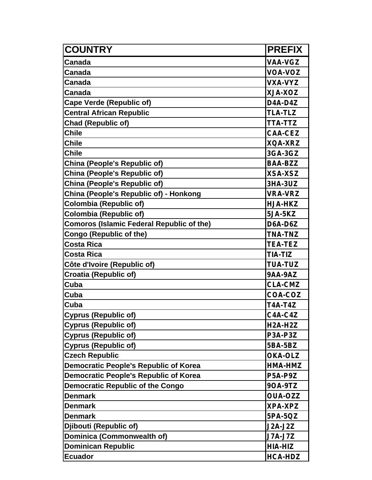| <b>COUNTRY</b>                                   | <b>PREFIX</b>                     |
|--------------------------------------------------|-----------------------------------|
| <b>Canada</b>                                    | <b>VAA-VGZ</b>                    |
| Canada                                           | <b>VOA-VOZ</b>                    |
| <b>Canada</b>                                    | <b>VXA-VYZ</b>                    |
| Canada                                           | XJA-XOZ                           |
| Cape Verde (Republic of)                         | D4A-D4Z                           |
| <b>Central African Republic</b>                  | <b>TLA-TLZ</b>                    |
| <b>Chad (Republic of)</b>                        | <b>TTA-TTZ</b>                    |
| <b>Chile</b>                                     | <b>CAA-CEZ</b>                    |
| <b>Chile</b>                                     | <b>XQA-XRZ</b>                    |
| <b>Chile</b>                                     | 3GA-3GZ                           |
| China (People's Republic of)                     | <b>BAA-BZZ</b>                    |
| China (People's Republic of)                     | <b>XSA-XSZ</b>                    |
| China (People's Republic of)                     | <b>3HA-3UZ</b>                    |
| China (People's Republic of) - Honkong           | <b>VRA-VRZ</b>                    |
| <b>Colombia (Republic of)</b>                    | <b>HJA-HKZ</b>                    |
| Colombia (Republic of)                           | <b>5JA-5KZ</b>                    |
| <b>Comoros (Islamic Federal Republic of the)</b> | D6A-D6Z                           |
| <b>Congo (Republic of the)</b>                   | <b>TNA-TNZ</b>                    |
| <b>Costa Rica</b>                                | <b>TEA-TEZ</b>                    |
| <b>Costa Rica</b>                                | <b>TIA-TIZ</b>                    |
| Côte d'Ivoire (Republic of)                      | <b>TUA-TUZ</b>                    |
| <b>Croatia (Republic of)</b>                     | <b>9AA-9AZ</b>                    |
| Cuba                                             | <b>CLA-CMZ</b>                    |
| Cuba                                             | COA-COZ                           |
| Cuba                                             | <b>T4A-T4Z</b>                    |
| <b>Cyprus (Republic of)</b>                      | $C4A-C4Z$                         |
| <b>Cyprus (Republic of)</b>                      | H <sub>2</sub> A-H <sub>2</sub> Z |
| <b>Cyprus (Republic of)</b>                      | P3A-P3Z                           |
| <b>Cyprus (Republic of)</b>                      | 5BA-5BZ                           |
| <b>Czech Republic</b>                            | <b>OKA-OLZ</b>                    |
| <b>Democratic People's Republic of Korea</b>     | HMA-HMZ                           |
| Democratic People's Republic of Korea            | <b>P5A-P9Z</b>                    |
| <b>Democratic Republic of the Congo</b>          | 90A-9TZ                           |
| <b>Denmark</b>                                   | <b>OUA-OZZ</b>                    |
| <b>Denmark</b>                                   | <b>XPA-XPZ</b>                    |
| <b>Denmark</b>                                   | 5PA-5QZ                           |
| Djibouti (Republic of)                           | <b>J2A-J2Z</b>                    |
| Dominica (Commonwealth of)                       | <b>J7A-J7Z</b>                    |
| <b>Dominican Republic</b>                        | HIA-HIZ                           |
| <b>Ecuador</b>                                   | <b>HCA-HDZ</b>                    |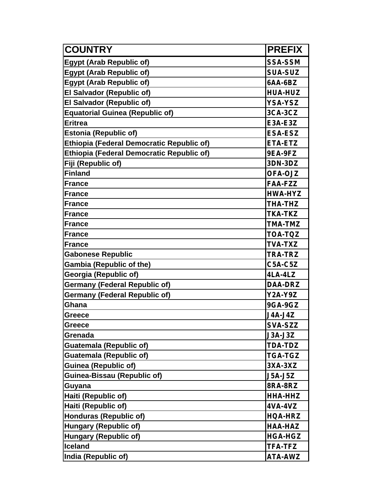| <b>COUNTRY</b>                                   | <b>PREFIX</b>  |
|--------------------------------------------------|----------------|
| <b>Egypt (Arab Republic of)</b>                  | <b>SSA-SSM</b> |
| <b>Egypt (Arab Republic of)</b>                  | <b>SUA-SUZ</b> |
| <b>Egypt (Arab Republic of)</b>                  | 6AA-6BZ        |
| <b>El Salvador (Republic of)</b>                 | <b>HUA-HUZ</b> |
| <b>El Salvador (Republic of)</b>                 | YSA-YSZ        |
| <b>Equatorial Guinea (Republic of)</b>           | <b>3CA-3CZ</b> |
| <b>Eritrea</b>                                   | <b>E3A-E3Z</b> |
| <b>Estonia (Republic of)</b>                     | <b>ESA-ESZ</b> |
| <b>Ethiopia (Federal Democratic Republic of)</b> | ETA-ETZ        |
| <b>Ethiopia (Federal Democratic Republic of)</b> | 9EA-9FZ        |
| Fiji (Republic of)                               | 3DN-3DZ        |
| <b>Finland</b>                                   | <b>OFA-OJZ</b> |
| <b>France</b>                                    | <b>FAA-FZZ</b> |
| <b>France</b>                                    | HWA-HYZ        |
| <b>France</b>                                    | <b>THA-THZ</b> |
| <b>France</b>                                    | <b>TKA-TKZ</b> |
| <b>France</b>                                    | <b>TMA-TMZ</b> |
| <b>France</b>                                    | TOA-TQZ        |
| <b>France</b>                                    | <b>TVA-TXZ</b> |
| <b>Gabonese Republic</b>                         | <b>TRA-TRZ</b> |
| <b>Gambia (Republic of the)</b>                  | <b>C5A-C5Z</b> |
| Georgia (Republic of)                            | 4LA-4LZ        |
| <b>Germany (Federal Republic of)</b>             | <b>DAA-DRZ</b> |
| <b>Germany (Federal Republic of)</b>             | Y2A-Y9Z        |
| Ghana                                            | <b>9GA-9GZ</b> |
| <b>Greece</b>                                    | J4A-J4Z        |
| <b>Greece</b>                                    | <b>SVA-SZZ</b> |
| Grenada                                          | <b>J3A-J3Z</b> |
| <b>Guatemala (Republic of)</b>                   | <b>TDA-TDZ</b> |
| <b>Guatemala (Republic of)</b>                   | <b>TGA-TGZ</b> |
| <b>Guinea (Republic of)</b>                      | 3XA-3XZ        |
| <b>Guinea-Bissau (Republic of)</b>               | <b>J5A-J5Z</b> |
| Guyana                                           | 8RA-8RZ        |
| Haiti (Republic of)                              | HHA-HHZ        |
| Haiti (Republic of)                              | <b>4VA-4VZ</b> |
| <b>Honduras (Republic of)</b>                    | HQA-HRZ        |
| <b>Hungary (Republic of)</b>                     | HAA-HAZ        |
| <b>Hungary (Republic of)</b>                     | <b>HGA-HGZ</b> |
| <b>Iceland</b>                                   | <b>TFA-TFZ</b> |
| India (Republic of)                              | <b>ATA-AWZ</b> |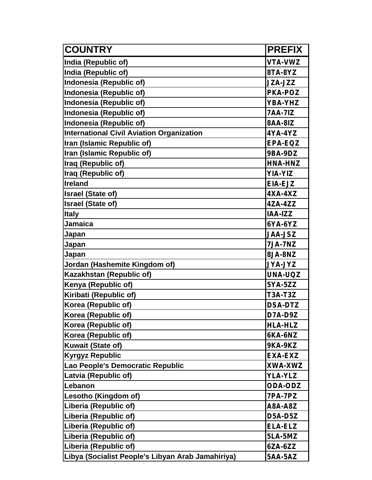| <b>COUNTRY</b>                                    | <b>PREFIX</b>  |
|---------------------------------------------------|----------------|
| India (Republic of)                               | <b>VTA-VWZ</b> |
| India (Republic of)                               | 8TA-8YZ        |
| Indonesia (Republic of)                           | JZA-JZZ        |
| <b>Indonesia (Republic of)</b>                    | <b>PKA-POZ</b> |
| Indonesia (Republic of)                           | YBA-YHZ        |
| Indonesia (Republic of)                           | <b>7AA-7IZ</b> |
| Indonesia (Republic of)                           | <b>8AA-8IZ</b> |
| <b>International Civil Aviation Organization</b>  | 4YA-4YZ        |
| Iran (Islamic Republic of)                        | EPA-EQZ        |
| Iran (Islamic Republic of)                        | 9BA-9DZ        |
| Iraq (Republic of)                                | HNA-HNZ        |
| Iraq (Republic of)                                | <b>YIA-YIZ</b> |
| <b>Ireland</b>                                    | EIA-EJZ        |
| <b>Israel (State of)</b>                          | $4XA-4XZ$      |
| <b>Israel (State of)</b>                          | 4ZA-4ZZ        |
| <b>Italy</b>                                      | IAA-IZZ        |
| <b>Jamaica</b>                                    | 6YA-6YZ        |
| Japan                                             | <b>JAA-JSZ</b> |
| Japan                                             | <b>7JA-7NZ</b> |
| Japan                                             | 8JA-8NZ        |
| Jordan (Hashemite Kingdom of)                     | <b>JYA-JYZ</b> |
| Kazakhstan (Republic of)                          | UNA-UQZ        |
| Kenya (Republic of)                               | 5YA-5ZZ        |
| Kiribati (Republic of)                            | <b>T3A-T3Z</b> |
| Korea (Republic of)                               | <b>DSA-DTZ</b> |
| Korea (Republic of)                               | D7A-D9Z        |
| Korea (Republic of)                               | <b>HLA-HLZ</b> |
| Korea (Republic of)                               | 6KA-6NZ        |
| <b>Kuwait (State of)</b>                          | <b>9KA-9KZ</b> |
| <b>Kyrgyz Republic</b>                            | <b>EXA-EXZ</b> |
| Lao People's Democratic Republic                  | <b>XWA-XWZ</b> |
| Latvia (Republic of)                              | <b>YLA-YLZ</b> |
| Lebanon                                           | <b>ODA-ODZ</b> |
| Lesotho (Kingdom of)                              | 7PA-7PZ        |
| Liberia (Republic of)                             | <b>A8A-A8Z</b> |
| Liberia (Republic of)                             | <b>D5A-D5Z</b> |
| Liberia (Republic of)                             | <b>ELA-ELZ</b> |
| Liberia (Republic of)                             | 5LA-5MZ        |
| Liberia (Republic of)                             | 6ZA-6ZZ        |
| Libya (Socialist People's Libyan Arab Jamahiriya) | <b>5AA-5AZ</b> |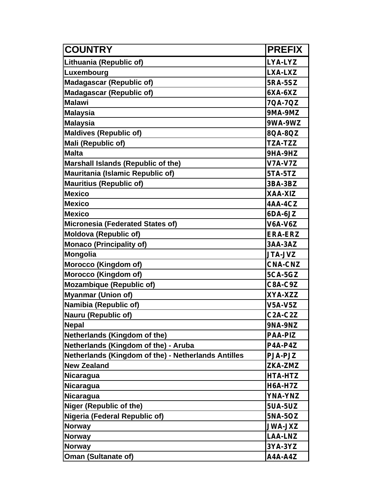| <b>COUNTRY</b>                                      | <b>PREFIX</b>  |
|-----------------------------------------------------|----------------|
| Lithuania (Republic of)                             | <b>LYA-LYZ</b> |
| Luxembourg                                          | <b>LXA-LXZ</b> |
| <b>Madagascar (Republic of)</b>                     | <b>5RA-5SZ</b> |
| <b>Madagascar (Republic of)</b>                     | 6XA-6XZ        |
| <b>Malawi</b>                                       | 7QA-7QZ        |
| <b>Malaysia</b>                                     | 9MA-9MZ        |
| <b>Malaysia</b>                                     | 9WA-9WZ        |
| <b>Maldives (Republic of)</b>                       | 8QA-8QZ        |
| Mali (Republic of)                                  | <b>TZA-TZZ</b> |
| <b>Malta</b>                                        | 9HA-9HZ        |
| <b>Marshall Islands (Republic of the)</b>           | <b>V7A-V7Z</b> |
| <b>Mauritania (Islamic Republic of)</b>             | 5TA-5TZ        |
| <b>Mauritius (Republic of)</b>                      | 3BA-3BZ        |
| <b>Mexico</b>                                       | XAA-XIZ        |
| <b>Mexico</b>                                       | 4AA-4CZ        |
| <b>Mexico</b>                                       | 6DA-6JZ        |
| <b>Micronesia (Federated States of)</b>             | <b>V6A-V6Z</b> |
| <b>Moldova (Republic of)</b>                        | <b>ERA-ERZ</b> |
| <b>Monaco (Principality of)</b>                     | <b>3AA-3AZ</b> |
| <b>Mongolia</b>                                     | <b>JTA-JVZ</b> |
| Morocco (Kingdom of)                                | <b>CNA-CNZ</b> |
| Morocco (Kingdom of)                                | <b>5CA-5GZ</b> |
| <b>Mozambique (Republic of)</b>                     | <b>C8A-C9Z</b> |
| <b>Myanmar (Union of)</b>                           | XYA-XZZ        |
| Namibia (Republic of)                               | <b>V5A-V5Z</b> |
| <b>Nauru (Republic of)</b>                          | <b>C2A-C2Z</b> |
| <b>Nepal</b>                                        | 9NA-9NZ        |
| Netherlands (Kingdom of the)                        | <b>PAA-PIZ</b> |
| Netherlands (Kingdom of the) - Aruba                | P4A-P4Z        |
| Netherlands (Kingdom of the) - Netherlands Antilles | <b>PJA-PJZ</b> |
| <b>New Zealand</b>                                  | ZKA-ZMZ        |
| <b>Nicaragua</b>                                    | HTA-HTZ        |
| <b>Nicaragua</b>                                    | <b>H6A-H7Z</b> |
| <b>Nicaragua</b>                                    | <b>YNA-YNZ</b> |
| <b>Niger (Republic of the)</b>                      | <b>5UA-5UZ</b> |
| Nigeria (Federal Republic of)                       | <b>5NA-5OZ</b> |
| <b>Norway</b>                                       | <b>SXL-AWL</b> |
| <b>Norway</b>                                       | <b>LAA-LNZ</b> |
| <b>Norway</b>                                       | 3YA-3YZ        |
| <b>Oman (Sultanate of)</b>                          | <b>A4A-A4Z</b> |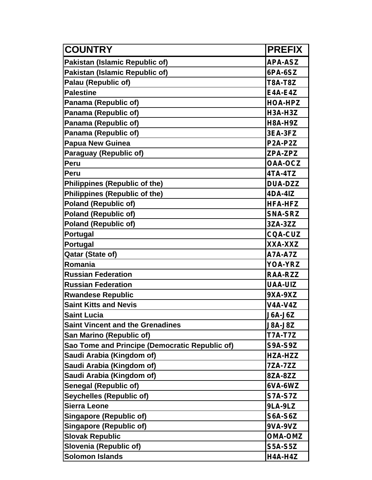| <b>COUNTRY</b>                                 | <b>PREFIX</b>                     |
|------------------------------------------------|-----------------------------------|
| <b>Pakistan (Islamic Republic of)</b>          | <b>APA-ASZ</b>                    |
| <b>Pakistan (Islamic Republic of)</b>          | 6PA-6SZ                           |
| Palau (Republic of)                            | <b>T8A-T8Z</b>                    |
| <b>Palestine</b>                               | <b>E4A-E4Z</b>                    |
| Panama (Republic of)                           | <b>HOA-HPZ</b>                    |
| Panama (Republic of)                           | H3A-H3Z                           |
| Panama (Republic of)                           | <b>H8A-H9Z</b>                    |
| Panama (Republic of)                           | 3EA-3FZ                           |
| <b>Papua New Guinea</b>                        | P <sub>2</sub> A-P <sub>2</sub> Z |
| Paraguay (Republic of)                         | ZPA-ZPZ                           |
| Peru                                           | <b>OAA-OCZ</b>                    |
| Peru                                           | 4TA-4TZ                           |
| <b>Philippines (Republic of the)</b>           | <b>DUA-DZZ</b>                    |
| <b>Philippines (Republic of the)</b>           | 4DA-41Z                           |
| <b>Poland (Republic of)</b>                    | <b>HFA-HFZ</b>                    |
| <b>Poland (Republic of)</b>                    | <b>SNA-SRZ</b>                    |
| <b>Poland (Republic of)</b>                    | 3ZA-3ZZ                           |
| Portugal                                       | <b>CQA-CUZ</b>                    |
| Portugal                                       | XXA-XXZ                           |
| Qatar (State of)                               | <b>A7A-A7Z</b>                    |
| Romania                                        | YOA-YRZ                           |
| <b>Russian Federation</b>                      | <b>RAA-RZZ</b>                    |
| <b>Russian Federation</b>                      | <b>UAA-UIZ</b>                    |
| <b>Rwandese Republic</b>                       | 9XA-9XZ                           |
| <b>Saint Kitts and Nevis</b>                   | <b>V4A-V4Z</b>                    |
| <b>Saint Lucia</b>                             | <b>J6A-J6Z</b>                    |
| <b>Saint Vincent and the Grenadines</b>        | <b>J8A-J8Z</b>                    |
| San Marino (Republic of)                       | <b>T7A-T7Z</b>                    |
| Sao Tome and Principe (Democratic Republic of) | <b>S9A-S9Z</b>                    |
| Saudi Arabia (Kingdom of)                      | HZA-HZZ                           |
| Saudi Arabia (Kingdom of)                      | <b>7ZA-7ZZ</b>                    |
| Saudi Arabia (Kingdom of)                      | 8ZA-8ZZ                           |
| <b>Senegal (Republic of)</b>                   | 6VA-6WZ                           |
| Seychelles (Republic of)                       | <b>S7A-S7Z</b>                    |
| <b>Sierra Leone</b>                            | 9LA-9LZ                           |
| <b>Singapore (Republic of)</b>                 | <b>S6A-S6Z</b>                    |
| <b>Singapore (Republic of)</b>                 | 9VA-9VZ                           |
| <b>Slovak Republic</b>                         | <b>OMA-OMZ</b>                    |
| Slovenia (Republic of)                         | <b>S5A-S5Z</b>                    |
| <b>Solomon Islands</b>                         | H4A-H4Z                           |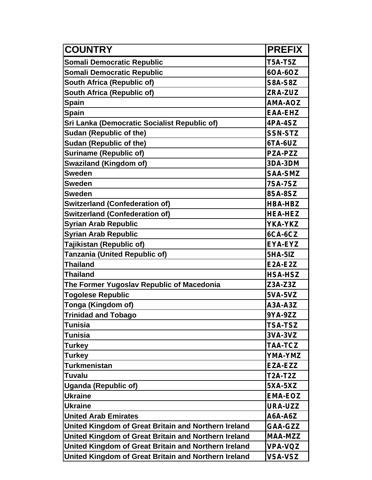| <b>COUNTRY</b>                                       | <b>PREFIX</b>  |
|------------------------------------------------------|----------------|
| <b>Somali Democratic Republic</b>                    | <b>T5A-T5Z</b> |
| <b>Somali Democratic Republic</b>                    | 60A-60Z        |
| South Africa (Republic of)                           | <b>S8A-S8Z</b> |
| South Africa (Republic of)                           | ZRA-ZUZ        |
| <b>Spain</b>                                         | <b>AMA-AOZ</b> |
| <b>Spain</b>                                         | <b>EAA-EHZ</b> |
| Sri Lanka (Democratic Socialist Republic of)         | 4PA-4SZ        |
| <b>Sudan (Republic of the)</b>                       | <b>SSN-STZ</b> |
| <b>Sudan (Republic of the)</b>                       | $6TA-6UZ$      |
| <b>Suriname (Republic of)</b>                        | <b>PZA-PZZ</b> |
| <b>Swaziland (Kingdom of)</b>                        | 3DA-3DM        |
| <b>Sweden</b>                                        | <b>SAA-SMZ</b> |
| <b>Sweden</b>                                        | <b>7SA-7SZ</b> |
| <b>Sweden</b>                                        | 8SA-8SZ        |
| <b>Switzerland (Confederation of)</b>                | <b>HBA-HBZ</b> |
| <b>Switzerland (Confederation of)</b>                | <b>HEA-HEZ</b> |
| <b>Syrian Arab Republic</b>                          | YKA-YKZ        |
| <b>Syrian Arab Republic</b>                          | 6CA-6CZ        |
| Tajikistan (Republic of)                             | EYA-EYZ        |
| Tanzania (United Republic of)                        | <b>5HA-5IZ</b> |
| <b>Thailand</b>                                      | <b>E2A-E2Z</b> |
| <b>Thailand</b>                                      | <b>HSA-HSZ</b> |
| The Former Yugoslav Republic of Macedonia            | Z3A-Z3Z        |
| <b>Togolese Republic</b>                             | <b>5VA-5VZ</b> |
| Tonga (Kingdom of)                                   | A3A-A3Z        |
| <b>Trinidad and Tobago</b>                           | 9YA-9ZZ        |
| <b>Tunisia</b>                                       | <b>TSA-TSZ</b> |
| <b>Tunisia</b>                                       | 3VA-3VZ        |
| <b>Turkey</b>                                        | <b>TAA-TCZ</b> |
| <b>Turkey</b>                                        | YMA-YMZ        |
| <b>Turkmenistan</b>                                  | EZA-EZZ        |
| Tuvalu                                               | <b>T2A-T2Z</b> |
| <b>Uganda (Republic of)</b>                          | <b>5XA-5XZ</b> |
| <b>Ukraine</b>                                       | <b>EMA-EOZ</b> |
| <b>Ukraine</b>                                       | <b>URA-UZZ</b> |
| <b>United Arab Emirates</b>                          | A6A-A6Z        |
| United Kingdom of Great Britain and Northern Ireland | GAA-GZZ        |
| United Kingdom of Great Britain and Northern Ireland | <b>MAA-MZZ</b> |
| United Kingdom of Great Britain and Northern Ireland | <b>VPA-VQZ</b> |
| United Kingdom of Great Britain and Northern Ireland | <b>VSA-VSZ</b> |